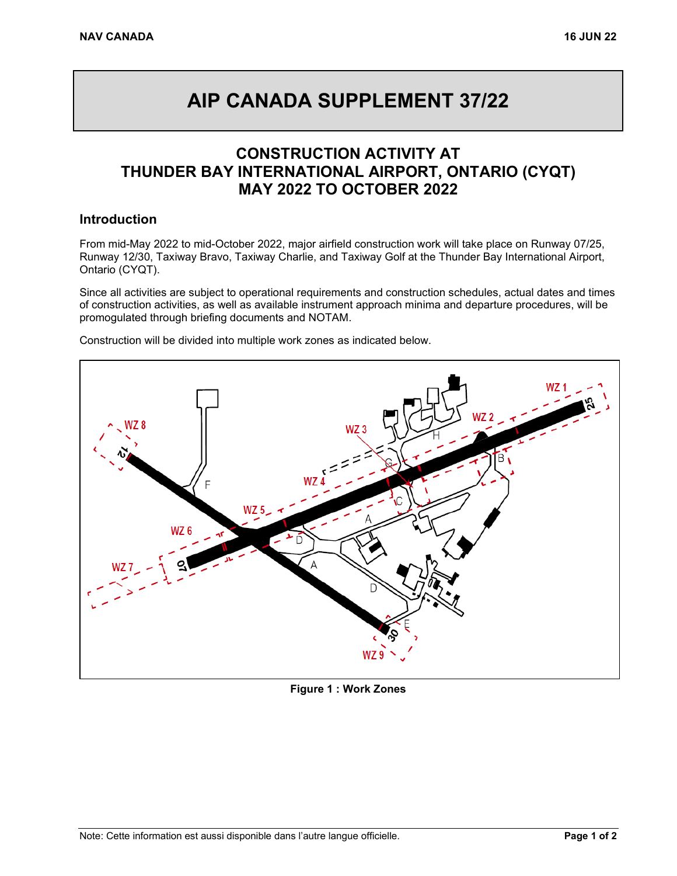# **AIP CANADA SUPPLEMENT 37/22**

## **CONSTRUCTION ACTIVITY AT THUNDER BAY INTERNATIONAL AIRPORT, ONTARIO (CYQT) MAY 2022 TO OCTOBER 2022**

#### **Introduction**

From mid-May 2022 to mid-October 2022, major airfield construction work will take place on Runway 07/25, Runway 12/30, Taxiway Bravo, Taxiway Charlie, and Taxiway Golf at the Thunder Bay International Airport, Ontario (CYQT).

Since all activities are subject to operational requirements and construction schedules, actual dates and times of construction activities, as well as available instrument approach minima and departure procedures, will be promogulated through briefing documents and NOTAM.



Construction will be divided into multiple work zones as indicated below.

**Figure 1 : Work Zones**